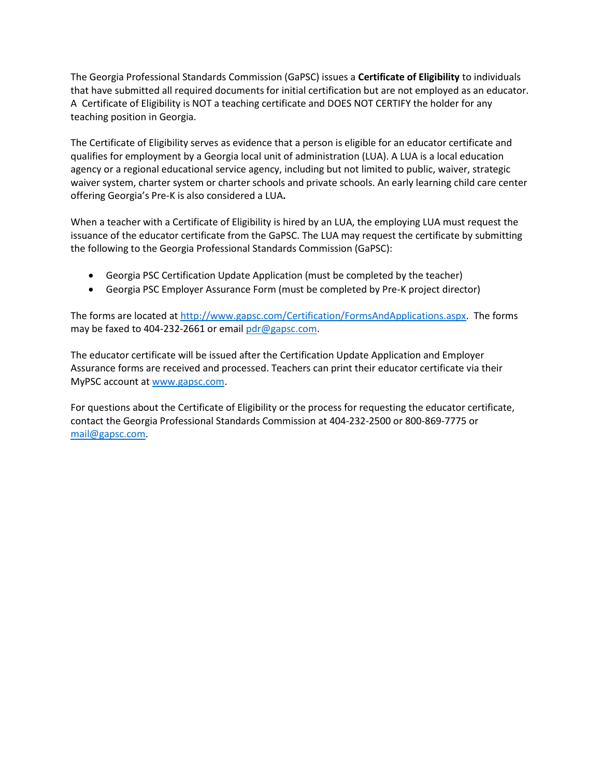The Georgia Professional Standards Commission (GaPSC) issues a **Certificate of Eligibility** to individuals that have submitted all required documents for initial certification but are not employed as an educator. A Certificate of Eligibility is NOT a teaching certificate and DOES NOT CERTIFY the holder for any teaching position in Georgia.

The Certificate of Eligibility serves as evidence that a person is eligible for an educator certificate and qualifies for employment by a Georgia local unit of administration (LUA). A LUA is a local education agency or a regional educational service agency, including but not limited to public, waiver, strategic waiver system, charter system or charter schools and private schools. An early learning child care center offering Georgia's Pre-K is also considered a LUA**.**

When a teacher with a Certificate of Eligibility is hired by an LUA, the employing LUA must request the issuance of the educator certificate from the GaPSC. The LUA may request the certificate by submitting the following to the Georgia Professional Standards Commission (GaPSC):

- Georgia PSC Certification Update Application (must be completed by the teacher)
- Georgia PSC Employer Assurance Form (must be completed by Pre-K project director)

The forms are located at [http://www.gapsc.com/Certification/FormsAndApplications.aspx.](http://www.gapsc.com/Certification/FormsAndApplications.aspx) The forms may be faxed to 404-232-2661 or emai[l pdr@gapsc.com.](mailto:pdr@gapsc.com)

The educator certificate will be issued after the Certification Update Application and Employer Assurance forms are received and processed. Teachers can print their educator certificate via their MyPSC account at [www.gapsc.com.](http://www.gapsc.com/)

For questions about the Certificate of Eligibility or the process for requesting the educator certificate, contact the Georgia Professional Standards Commission at 404-232-2500 or 800-869-7775 or [mail@gapsc.com.](mailto:mail@gapsc.com)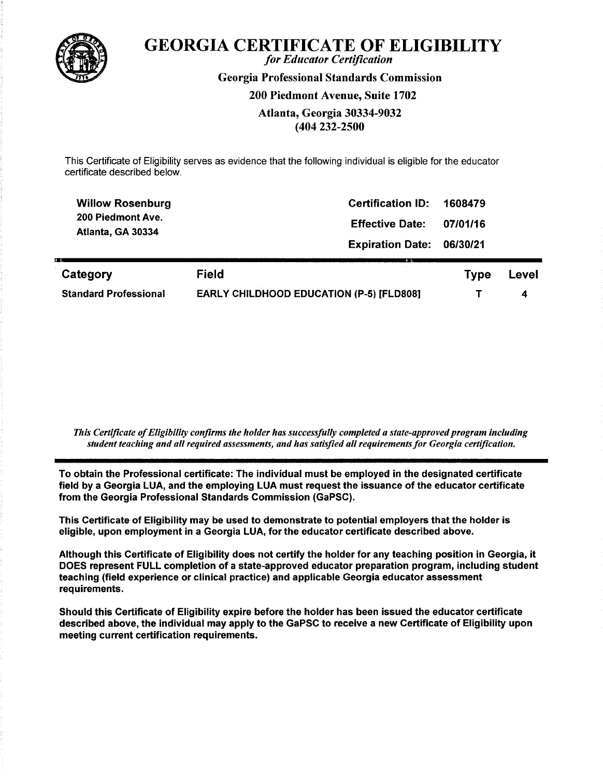

## **GEORGIA CERTIFICATE OF ELIGIBILITY**

for Educator Certification **Georgia Professional Standards Commission** 200 Piedmont Avenue, Suite 1702 Atlanta, Georgia 30334-9032 (404 232-2500

This Certificate of Eligibility serves as evidence that the following individual is eligible for the educator certificate described below.

| <b>Willow Rosenburg</b>      | <b>Certification ID:</b>                        | 1608479     |       |
|------------------------------|-------------------------------------------------|-------------|-------|
| 200 Piedmont Ave.            | <b>Effective Date:</b>                          | 07/01/16    |       |
| Atlanta, GA 30334            | <b>Expiration Date:</b>                         | 06/30/21    |       |
| Category                     | <b>Field</b>                                    | <b>Type</b> | Level |
| <b>Standard Professional</b> | <b>EARLY CHILDHOOD EDUCATION (P-5) [FLD808]</b> |             | 4     |

This Certificate of Eligibility confirms the holder has successfully completed a state-approved program including student teaching and all required assessments, and has satisfied all requirements for Georgia certification.

To obtain the Professional certificate: The individual must be employed in the designated certificate field by a Georgia LUA, and the employing LUA must request the issuance of the educator certificate from the Georgia Professional Standards Commission (GaPSC).

This Certificate of Eligibility may be used to demonstrate to potential employers that the holder is eligible, upon employment in a Georgia LUA, for the educator certificate described above.

Although this Certificate of Eligibility does not certify the holder for any teaching position in Georgia, it DOES represent FULL completion of a state-approved educator preparation program, including student teaching (field experience or clinical practice) and applicable Georgia educator assessment requirements.

Should this Certificate of Eligibility expire before the holder has been issued the educator certificate described above, the individual may apply to the GaPSC to receive a new Certificate of Eligibility upon meeting current certification requirements.